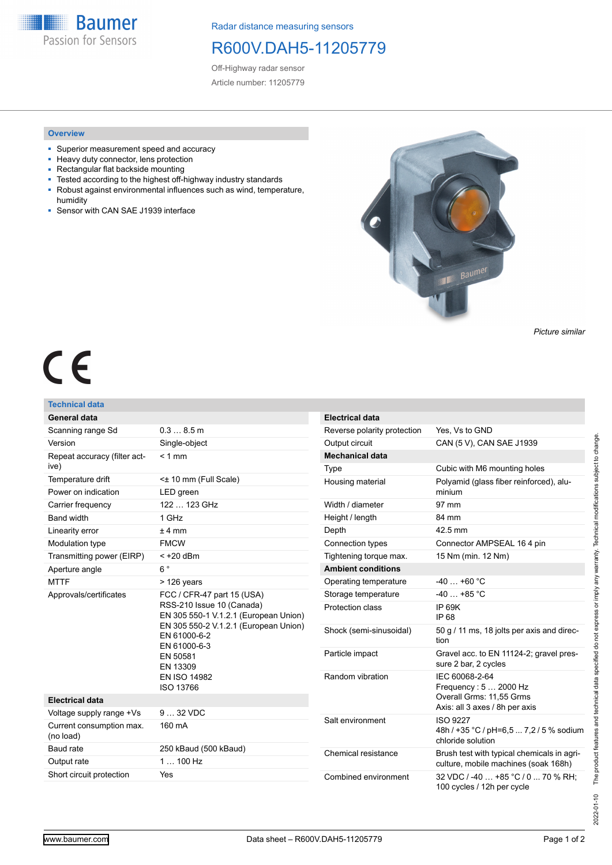**Baumer** Passion for Sensors

Radar distance measuring sensors

## R600V.DAH5-11205779

Off-Highway radar sensor Article number: 11205779

## **Overview**

- Superior measurement speed and accuracy
- Heavy duty connector, lens protection
- Rectangular flat backside mounting
- Tested according to the highest off-highway industry standards
- Robust against environmental influences such as wind, temperature, humidity
- **BED Sensor with CAN SAE J1939 interface**



*Picture similar*

# CE

## **Technical data**

| 0.38.5m<br>Scanning range Sd<br>Version<br>Single-object<br>$< 1$ mm<br>Repeat accuracy (filter act-<br>ive)<br>Temperature drift<br><± 10 mm (Full Scale)<br>Power on indication<br>LED green<br>122  123 GHz<br>Carrier frequency<br><b>Band width</b><br>$1$ GH $z$<br>Linearity error<br>$± 4$ mm<br>Modulation type<br><b>FMCW</b><br>Transmitting power (EIRP)<br>$< +20$ dBm<br>$6^{\circ}$<br>Aperture angle<br><b>MTTF</b><br>$>126$ years |                                                                                |
|-----------------------------------------------------------------------------------------------------------------------------------------------------------------------------------------------------------------------------------------------------------------------------------------------------------------------------------------------------------------------------------------------------------------------------------------------------|--------------------------------------------------------------------------------|
|                                                                                                                                                                                                                                                                                                                                                                                                                                                     |                                                                                |
|                                                                                                                                                                                                                                                                                                                                                                                                                                                     |                                                                                |
|                                                                                                                                                                                                                                                                                                                                                                                                                                                     |                                                                                |
|                                                                                                                                                                                                                                                                                                                                                                                                                                                     |                                                                                |
|                                                                                                                                                                                                                                                                                                                                                                                                                                                     |                                                                                |
|                                                                                                                                                                                                                                                                                                                                                                                                                                                     |                                                                                |
|                                                                                                                                                                                                                                                                                                                                                                                                                                                     |                                                                                |
|                                                                                                                                                                                                                                                                                                                                                                                                                                                     |                                                                                |
|                                                                                                                                                                                                                                                                                                                                                                                                                                                     |                                                                                |
|                                                                                                                                                                                                                                                                                                                                                                                                                                                     |                                                                                |
|                                                                                                                                                                                                                                                                                                                                                                                                                                                     |                                                                                |
|                                                                                                                                                                                                                                                                                                                                                                                                                                                     |                                                                                |
| Approvals/certificates<br>FCC / CFR-47 part 15 (USA)<br>RSS-210 Issue 10 (Canada)<br>EN 61000-6-2<br>EN 61000-6-3<br>EN 50581<br>EN 13309<br><b>EN ISO 14982</b><br>ISO 13766                                                                                                                                                                                                                                                                       | EN 305 550-1 V.1.2.1 (European Union)<br>EN 305 550-2 V.1.2.1 (European Union) |
| <b>Electrical data</b>                                                                                                                                                                                                                                                                                                                                                                                                                              |                                                                                |
| $932$ VDC<br>Voltage supply range +Vs                                                                                                                                                                                                                                                                                                                                                                                                               |                                                                                |
| Current consumption max.<br>160 mA<br>(no load)                                                                                                                                                                                                                                                                                                                                                                                                     |                                                                                |
| Baud rate<br>250 kBaud (500 kBaud)                                                                                                                                                                                                                                                                                                                                                                                                                  |                                                                                |
| $1100$ Hz<br>Output rate                                                                                                                                                                                                                                                                                                                                                                                                                            |                                                                                |
| Short circuit protection<br>Yes                                                                                                                                                                                                                                                                                                                                                                                                                     |                                                                                |

| <b>Electrical data</b>      |                                                                                                       |
|-----------------------------|-------------------------------------------------------------------------------------------------------|
| Reverse polarity protection | Yes. Vs to GND                                                                                        |
| Output circuit              | CAN (5 V), CAN SAE J1939                                                                              |
| <b>Mechanical data</b>      |                                                                                                       |
| Type                        | Cubic with M6 mounting holes                                                                          |
| Housing material            | Polyamid (glass fiber reinforced), alu-<br>minium                                                     |
| Width / diameter            | 97 mm                                                                                                 |
| Height / length             | 84 mm                                                                                                 |
| Depth                       | 42.5 mm                                                                                               |
| Connection types            | Connector AMPSEAL 164 pin                                                                             |
| Tightening torque max.      | 15 Nm (min. 12 Nm)                                                                                    |
| <b>Ambient conditions</b>   |                                                                                                       |
| Operating temperature       | $-40+60$ °C                                                                                           |
| Storage temperature         | $-40+85$ °C                                                                                           |
| Protection class            | IP 69K<br>IP 68                                                                                       |
| Shock (semi-sinusoidal)     | 50 g / 11 ms, 18 jolts per axis and direc-<br>tion                                                    |
| Particle impact             | Gravel acc. to EN 11124-2; gravel pres-<br>sure 2 bar, 2 cycles                                       |
| Random vibration            | IEC 60068-2-64<br>Frequency: 5  2000 Hz<br>Overall Grms: 11,55 Grms<br>Axis: all 3 axes / 8h per axis |
| Salt environment            | <b>ISO 9227</b><br>48h / +35 °C / pH=6,5  7,2 / 5 % sodium<br>chloride solution                       |
| Chemical resistance         | Brush test with typical chemicals in agri-<br>culture, mobile machines (soak 168h)                    |
| Combined environment        | 32 VDC / -40  +85 °C / 0  70 % RH:<br>100 cycles / 12h per cycle                                      |